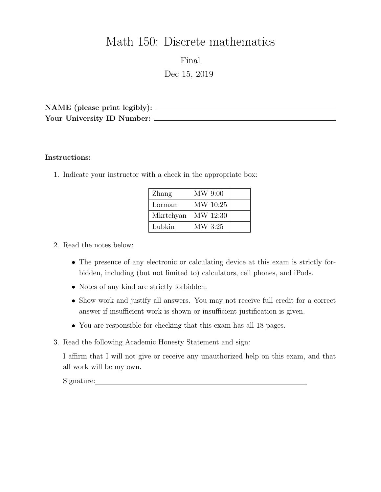# Math 150: Discrete mathematics

Final Dec 15, 2019

NAME (please print legibly): Your University ID Number:

#### Instructions:

1. Indicate your instructor with a check in the appropriate box:

| Zhang     | MW 9:00  |  |
|-----------|----------|--|
| Lorman    | MW 10:25 |  |
| Mkrtchyan | MW 12:30 |  |
| Lubkin    | MW 3:25  |  |

## 2. Read the notes below:

- The presence of any electronic or calculating device at this exam is strictly forbidden, including (but not limited to) calculators, cell phones, and iPods.
- Notes of any kind are strictly forbidden.
- Show work and justify all answers. You may not receive full credit for a correct answer if insufficient work is shown or insufficient justification is given.
- You are responsible for checking that this exam has all 18 pages.
- 3. Read the following Academic Honesty Statement and sign:

I affirm that I will not give or receive any unauthorized help on this exam, and that all work will be my own.

Signature: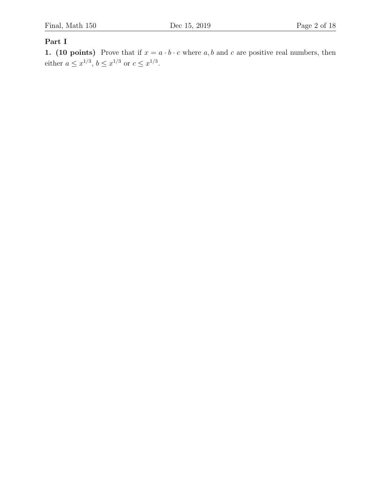## Part I

1. (10 points) Prove that if  $x = a \cdot b \cdot c$  where  $a, b$  and  $c$  are positive real numbers, then either  $a \leq x^{1/3}, b \leq x^{1/3}$  or  $c \leq x^{1/3}$ .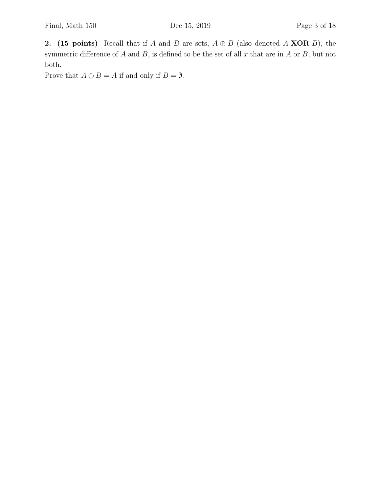2. (15 points) Recall that if A and B are sets,  $A \oplus B$  (also denoted A XOR B), the symmetric difference of  $A$  and  $B$ , is defined to be the set of all  $x$  that are in  $A$  or  $B$ , but not both.

Prove that  $A \oplus B = A$  if and only if  $B = \emptyset$ .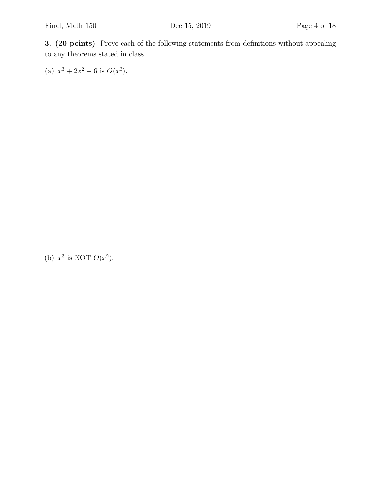3. (20 points) Prove each of the following statements from definitions without appealing to any theorems stated in class.

(a)  $x^3 + 2x^2 - 6$  is  $O(x^3)$ .

(b)  $x^3$  is NOT  $O(x^2)$ .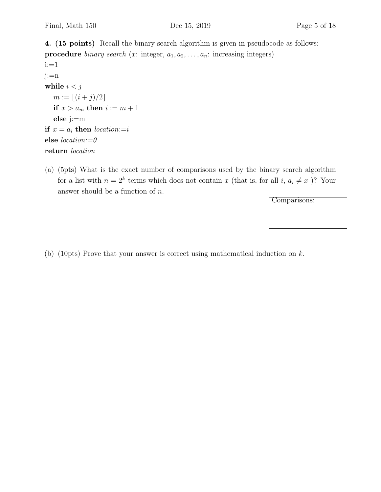4. (15 points) Recall the binary search algorithm is given in pseudocode as follows: **procedure** binary search (x: integer,  $a_1, a_2, \ldots, a_n$ : increasing integers) i:=1 j:=n while  $i < j$  $m := \lfloor (i + j)/2 \rfloor$ if  $x > a_m$  then  $i := m + 1$ else j:=m if  $x = a_i$  then location:=i else location:=0 return location

(a) (5pts) What is the exact number of comparisons used by the binary search algorithm for a list with  $n = 2^k$  terms which does not contain x (that is, for all i,  $a_i \neq x$ )? Your answer should be a function of  $n$ .

Comparisons:

(b) (10pts) Prove that your answer is correct using mathematical induction on k.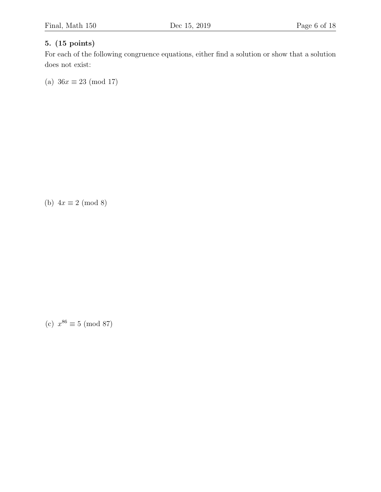## 5. (15 points)

For each of the following congruence equations, either find a solution or show that a solution does not exist:

(a)  $36x \equiv 23 \pmod{17}$ 

(b)  $4x \equiv 2 \pmod{8}$ 

(c)  $x^{86} \equiv 5 \pmod{87}$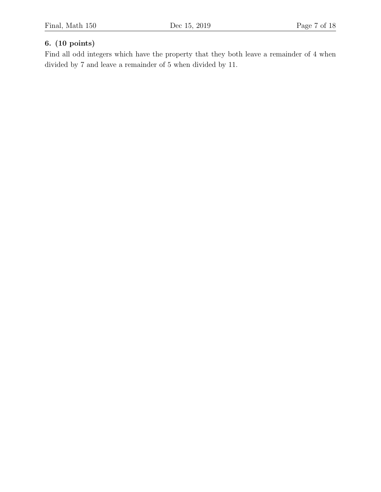## 6. (10 points)

Find all odd integers which have the property that they both leave a remainder of 4 when divided by 7 and leave a remainder of 5 when divided by 11.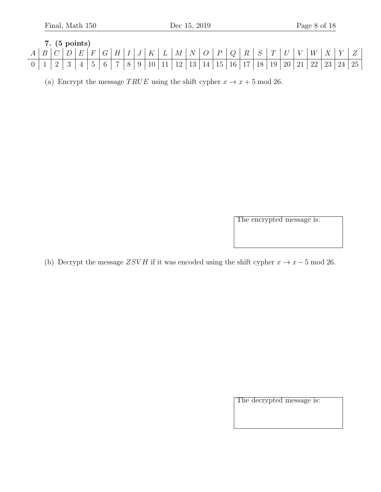7. (5 points)  
\n
$$
A \mid B \mid C \mid D \mid E \mid F \mid G \mid H \mid I \mid J \mid K \mid L \mid M \mid N \mid O \mid P \mid Q \mid R \mid S \mid T \mid U \mid V \mid W \mid X \mid Y \mid Z
$$
  
\n0 1 2 3 4 5 6 7 8 9 10 11 12 13 14 15 16 17 18 19 20 21 22 23 24 25

(a) Encrypt the message TRUE using the shift cypher  $x \to x + 5 \text{ mod } 26$ .

The encrypted message is:

(b) Decrypt the message  $ZSVH$  if it was encoded using the shift cypher  $x \to x-5 \text{ mod } 26$ .

The decrypted message is: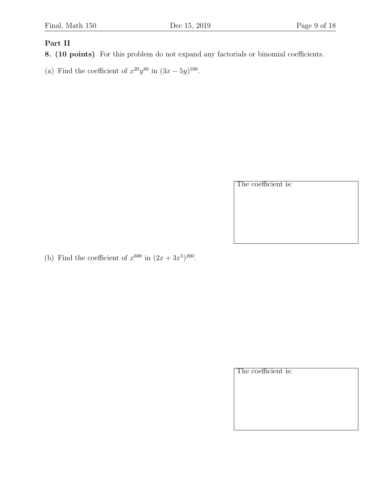### Part II

- 8. (10 points) For this problem do not expand any factorials or binomial coefficients.
- (a) Find the coefficient of  $x^{20}y^{80}$  in  $(3x-5y)^{100}$ .

The coefficient is:

(b) Find the coefficient of  $x^{600}$  in  $(2x + 3x^5)^{200}$ .

The coefficient is: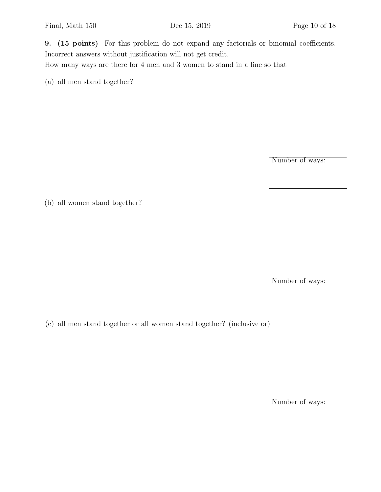9. (15 points) For this problem do not expand any factorials or binomial coefficients. Incorrect answers without justification will not get credit.

How many ways are there for 4 men and 3 women to stand in a line so that

(a) all men stand together?

Number of ways:

(b) all women stand together?

Number of ways:

(c) all men stand together or all women stand together? (inclusive or)

Number of ways: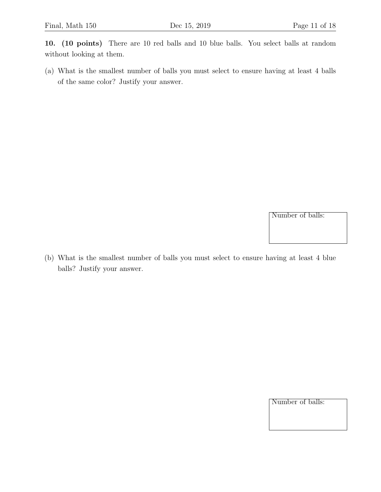10. (10 points) There are 10 red balls and 10 blue balls. You select balls at random without looking at them.

(a) What is the smallest number of balls you must select to ensure having at least 4 balls of the same color? Justify your answer.

Number of balls:

(b) What is the smallest number of balls you must select to ensure having at least 4 blue balls? Justify your answer.

Number of balls: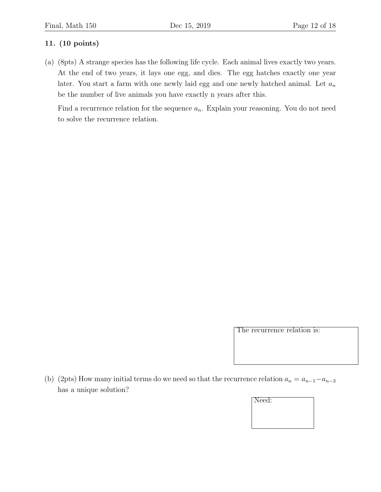## 11. (10 points)

(a) (8pts) A strange species has the following life cycle. Each animal lives exactly two years. At the end of two years, it lays one egg, and dies. The egg hatches exactly one year later. You start a farm with one newly laid egg and one newly hatched animal. Let  $a_n$ be the number of live animals you have exactly n years after this.

Find a recurrence relation for the sequence  $a_n$ . Explain your reasoning. You do not need to solve the recurrence relation.

The recurrence relation is:

(b) (2pts) How many initial terms do we need so that the recurrence relation  $a_n = a_{n-1} - a_{n-3}$ has a unique solution?

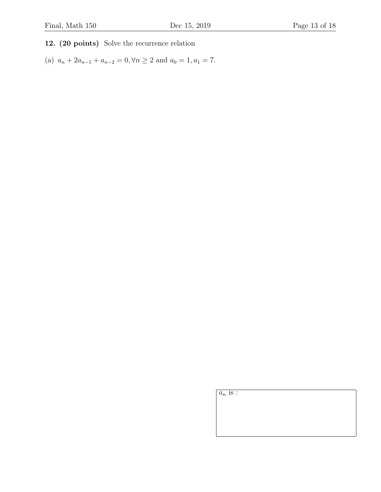## 12. (20 points) Solve the recurrence relation

(a)  $a_n + 2a_{n-1} + a_{n-2} = 0, \forall n \ge 2$  and  $a_0 = 1, a_1 = 7$ .

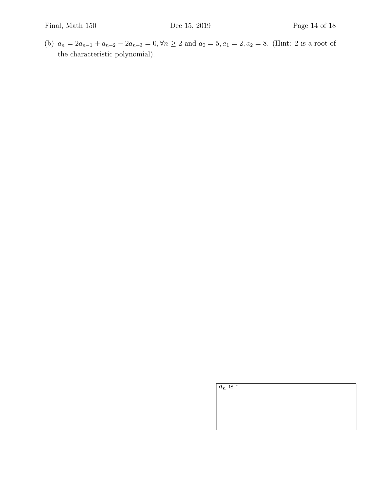(b)  $a_n = 2a_{n-1} + a_{n-2} - 2a_{n-3} = 0, \forall n \ge 2$  and  $a_0 = 5, a_1 = 2, a_2 = 8$ . (Hint: 2 is a root of the characteristic polynomial).

 $a_n$  is :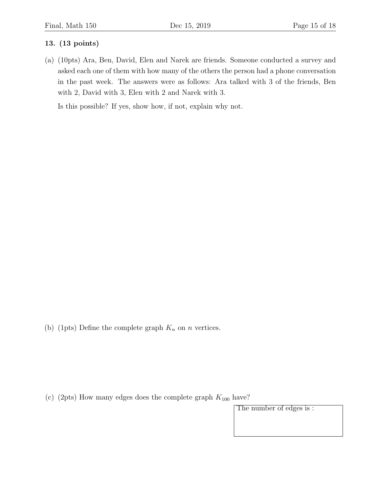#### 13. (13 points)

(a) (10pts) Ara, Ben, David, Elen and Narek are friends. Someone conducted a survey and asked each one of them with how many of the others the person had a phone conversation in the past week. The answers were as follows: Ara talked with 3 of the friends, Ben with 2, David with 3, Elen with 2 and Narek with 3.

Is this possible? If yes, show how, if not, explain why not.

(b) (1pts) Define the complete graph  $K_n$  on n vertices.

(c) (2pts) How many edges does the complete graph  $K_{100}$  have?

The number of edges is :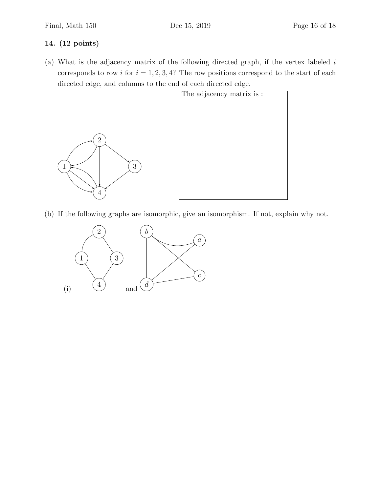## 14. (12 points)

(a) What is the adjacency matrix of the following directed graph, if the vertex labeled  $i$ corresponds to row i for  $i = 1, 2, 3, 4$ ? The row positions correspond to the start of each directed edge, and columns to the end of each directed edge.



(b) If the following graphs are isomorphic, give an isomorphism. If not, explain why not.

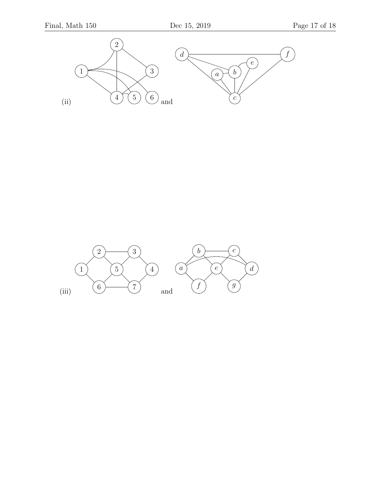